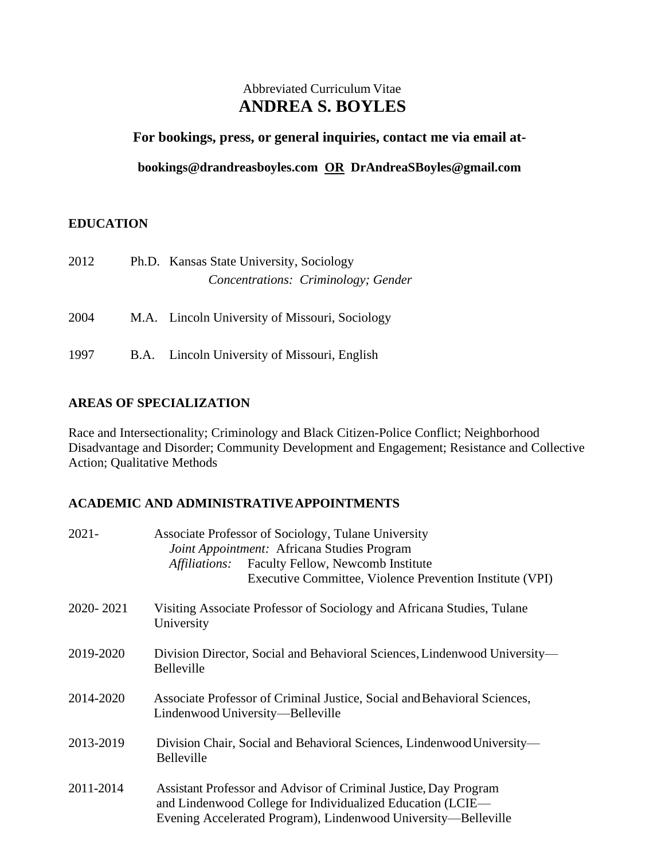# Abbreviated Curriculum Vitae **ANDREA S. BOYLES**

### **For bookings, press, or general inquiries, contact me via email at-**

**[bookings@drandreasboyles.com](mailto:bookings@drandreasboyles.com) OR DrAndreaSBoyles@gmail.com**

# **EDUCATION**

| 2012 | Ph.D. Kansas State University, Sociology       |
|------|------------------------------------------------|
|      | Concentrations: Criminology; Gender            |
| 2004 | M.A. Lincoln University of Missouri, Sociology |
| 1997 | B.A. Lincoln University of Missouri, English   |

# **AREAS OF SPECIALIZATION**

Race and Intersectionality; Criminology and Black Citizen-Police Conflict; Neighborhood Disadvantage and Disorder; Community Development and Engagement; Resistance and Collective Action; Qualitative Methods

# **ACADEMIC AND ADMINISTRATIVEAPPOINTMENTS**

| $2021 -$  | Associate Professor of Sociology, Tulane University<br>Joint Appointment: Africana Studies Program<br>Faculty Fellow, Newcomb Institute<br><i>Affiliations:</i><br>Executive Committee, Violence Prevention Institute (VPI) |  |  |
|-----------|-----------------------------------------------------------------------------------------------------------------------------------------------------------------------------------------------------------------------------|--|--|
| 2020-2021 | Visiting Associate Professor of Sociology and Africana Studies, Tulane<br>University                                                                                                                                        |  |  |
| 2019-2020 | Division Director, Social and Behavioral Sciences, Lindenwood University—<br><b>Belleville</b>                                                                                                                              |  |  |
| 2014-2020 | Associate Professor of Criminal Justice, Social and Behavioral Sciences,<br>Lindenwood University—Belleville                                                                                                                |  |  |
| 2013-2019 | Division Chair, Social and Behavioral Sciences, Lindenwood University—<br>Belleville                                                                                                                                        |  |  |
| 2011-2014 | Assistant Professor and Advisor of Criminal Justice, Day Program<br>and Lindenwood College for Individualized Education (LCIE—<br>Evening Accelerated Program), Lindenwood University—Belleville                            |  |  |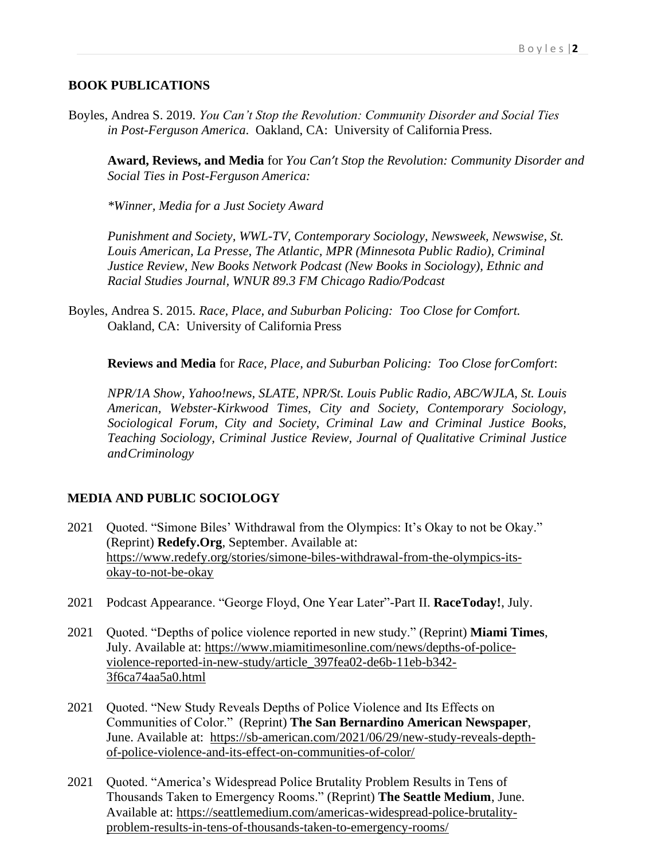### **BOOK PUBLICATIONS**

Boyles, Andrea S. 2019. *You Can't Stop the Revolution: Community Disorder and Social Ties in Post-Ferguson America*. Oakland, CA: University of California Press.

**Award, Reviews, and Media** for *You Can't Stop the Revolution: Community Disorder and Social Ties in Post-Ferguson America:*

*\*Winner, Media for a Just Society Award*

*Punishment and Society, WWL-TV, Contemporary Sociology, Newsweek, Newswise, St. Louis American, La Presse, The Atlantic, MPR (Minnesota Public Radio), Criminal Justice Review, New Books Network Podcast (New Books in Sociology), Ethnic and Racial Studies Journal, WNUR 89.3 FM Chicago Radio/Podcast*

Boyles, Andrea S. 2015. *Race, Place, and Suburban Policing: Too Close for Comfort.* Oakland, CA: University of California Press

**Reviews and Media** for *Race, Place, and Suburban Policing: Too Close forComfort*:

*NPR/1A Show, Yahoo!news, SLATE, NPR/St. Louis Public Radio, ABC/WJLA, St. Louis American, Webster-Kirkwood Times, City and Society, Contemporary Sociology, Sociological Forum, City and Society, Criminal Law and Criminal Justice Books, Teaching Sociology, Criminal Justice Review, Journal of Qualitative Criminal Justice andCriminology*

# **MEDIA AND PUBLIC SOCIOLOGY**

- 2021 Quoted. "Simone Biles' Withdrawal from the Olympics: It's Okay to not be Okay." (Reprint) **Redefy.Org**, September. Available at: [https://www.redefy.org/stories/simone-biles-withdrawal-from-the-olympics-its](https://www.redefy.org/stories/simone-biles-withdrawal-from-the-olympics-its-okay-to-not-be-okay)[okay-to-not-be-okay](https://www.redefy.org/stories/simone-biles-withdrawal-from-the-olympics-its-okay-to-not-be-okay)
- 2021 Podcast Appearance. "George Floyd, One Year Later"-Part II. **RaceToday!**, July.
- 2021 Quoted. "Depths of police violence reported in new study." (Reprint) **Miami Times**, July. Available at: [https://www.miamitimesonline.com/news/depths-of-police](https://www.miamitimesonline.com/news/depths-of-police-violence-reported-in-new-study/article_397fea02-de6b-11eb-b342-3f6ca74aa5a0.html)[violence-reported-in-new-study/article\\_397fea02-de6b-11eb-b342-](https://www.miamitimesonline.com/news/depths-of-police-violence-reported-in-new-study/article_397fea02-de6b-11eb-b342-3f6ca74aa5a0.html) [3f6ca74aa5a0.html](https://www.miamitimesonline.com/news/depths-of-police-violence-reported-in-new-study/article_397fea02-de6b-11eb-b342-3f6ca74aa5a0.html)
- 2021 Quoted. "New Study Reveals Depths of Police Violence and Its Effects on Communities of Color." (Reprint) **The San Bernardino American Newspaper**, June. Available at: [https://sb-american.com/2021/06/29/new-study-reveals-depth](https://sb-american.com/2021/06/29/new-study-reveals-depth-of-police-violence-and-its-effect-on-communities-of-color/)[of-police-violence-and-its-effect-on-communities-of-color/](https://sb-american.com/2021/06/29/new-study-reveals-depth-of-police-violence-and-its-effect-on-communities-of-color/)
- 2021 Quoted. "America's Widespread Police Brutality Problem Results in Tens of Thousands Taken to Emergency Rooms." (Reprint) **The Seattle Medium**, June. Available at: [https://seattlemedium.com/americas-widespread-police-brutality](https://seattlemedium.com/americas-widespread-police-brutality-problem-results-in-tens-of-thousands-taken-to-emergency-rooms/)[problem-results-in-tens-of-thousands-taken-to-emergency-rooms/](https://seattlemedium.com/americas-widespread-police-brutality-problem-results-in-tens-of-thousands-taken-to-emergency-rooms/)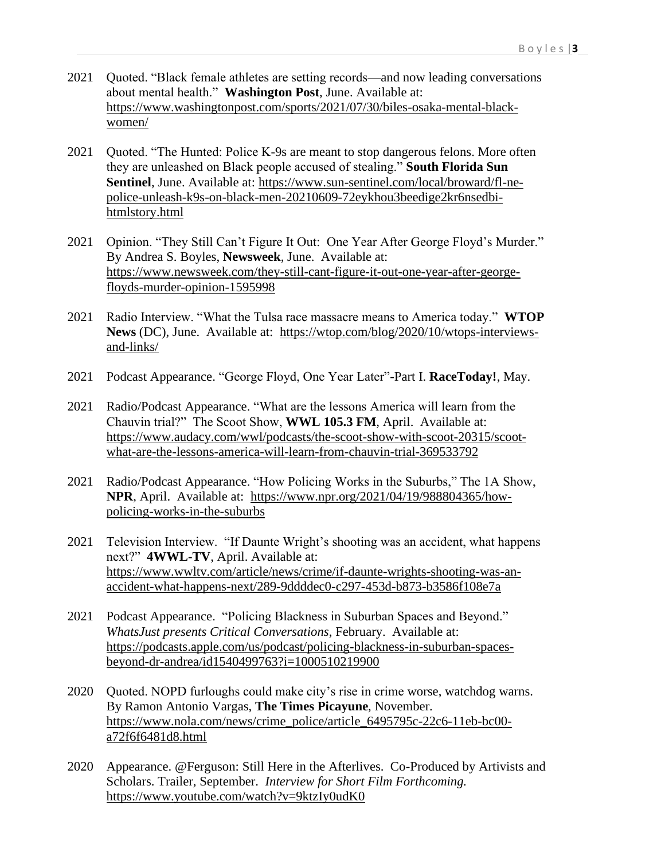- 2021 Quoted. "Black female athletes are setting records—and now leading conversations about mental health." **Washington Post**, June. Available at: [https://www.washingtonpost.com/sports/2021/07/30/biles-osaka-mental-black](https://www.washingtonpost.com/sports/2021/07/30/biles-osaka-mental-black-women/)[women/](https://www.washingtonpost.com/sports/2021/07/30/biles-osaka-mental-black-women/)
- 2021 Quoted. "The Hunted: Police K-9s are meant to stop dangerous felons. More often they are unleashed on Black people accused of stealing." **South Florida Sun Sentinel**, June. Available at: [https://www.sun-sentinel.com/local/broward/fl-ne](https://www.sun-sentinel.com/local/broward/fl-ne-police-unleash-k9s-on-black-men-20210609-72eykhou3beedige2kr6nsedbi-htmlstory.html)[police-unleash-k9s-on-black-men-20210609-72eykhou3beedige2kr6nsedbi](https://www.sun-sentinel.com/local/broward/fl-ne-police-unleash-k9s-on-black-men-20210609-72eykhou3beedige2kr6nsedbi-htmlstory.html)[htmlstory.html](https://www.sun-sentinel.com/local/broward/fl-ne-police-unleash-k9s-on-black-men-20210609-72eykhou3beedige2kr6nsedbi-htmlstory.html)
- 2021 Opinion. "They Still Can't Figure It Out: One Year After George Floyd's Murder." By Andrea S. Boyles, **Newsweek**, June. Available at: [https://www.newsweek.com/they-still-cant-figure-it-out-one-year-after-george](https://www.newsweek.com/they-still-cant-figure-it-out-one-year-after-george-floyds-murder-opinion-1595998)[floyds-murder-opinion-1595998](https://www.newsweek.com/they-still-cant-figure-it-out-one-year-after-george-floyds-murder-opinion-1595998)
- 2021 Radio Interview. "What the Tulsa race massacre means to America today." **WTOP News** (DC), June. Available at: [https://wtop.com/blog/2020/10/wtops-interviews](https://wtop.com/blog/2020/10/wtops-interviews-and-links/)[and-links/](https://wtop.com/blog/2020/10/wtops-interviews-and-links/)
- 2021 Podcast Appearance. "George Floyd, One Year Later"-Part I. **RaceToday!**, May.
- 2021 Radio/Podcast Appearance. "What are the lessons America will learn from the Chauvin trial?" The Scoot Show, **WWL 105.3 FM**, April. Available at: [https://www.audacy.com/wwl/podcasts/the-scoot-show-with-scoot-20315/scoot](https://www.audacy.com/wwl/podcasts/the-scoot-show-with-scoot-20315/scoot-what-are-the-lessons-america-will-learn-from-chauvin-trial-369533792)[what-are-the-lessons-america-will-learn-from-chauvin-trial-369533792](https://www.audacy.com/wwl/podcasts/the-scoot-show-with-scoot-20315/scoot-what-are-the-lessons-america-will-learn-from-chauvin-trial-369533792)
- 2021 Radio/Podcast Appearance. "How Policing Works in the Suburbs," The 1A Show, **NPR**, April. Available at: [https://www.npr.org/2021/04/19/988804365/how](https://www.npr.org/2021/04/19/988804365/how-policing-works-in-the-suburbs)[policing-works-in-the-suburbs](https://www.npr.org/2021/04/19/988804365/how-policing-works-in-the-suburbs)
- 2021 Television Interview. "If Daunte Wright's shooting was an accident, what happens next?" **4WWL-TV**, April. Available at: [https://www.wwltv.com/article/news/crime/if-daunte-wrights-shooting-was-an](https://www.wwltv.com/article/news/crime/if-daunte-wrights-shooting-was-an-accident-what-happens-next/289-9ddddec0-c297-453d-b873-b3586f108e7a)[accident-what-happens-next/289-9ddddec0-c297-453d-b873-b3586f108e7a](https://www.wwltv.com/article/news/crime/if-daunte-wrights-shooting-was-an-accident-what-happens-next/289-9ddddec0-c297-453d-b873-b3586f108e7a)
- 2021 Podcast Appearance. "Policing Blackness in Suburban Spaces and Beyond." *WhatsJust presents Critical Conversations*, February. Available at: [https://podcasts.apple.com/us/podcast/policing-blackness-in-suburban-spaces](https://podcasts.apple.com/us/podcast/policing-blackness-in-suburban-spaces-beyond-dr-andrea/id1540499763?i=1000510219900)[beyond-dr-andrea/id1540499763?i=1000510219900](https://podcasts.apple.com/us/podcast/policing-blackness-in-suburban-spaces-beyond-dr-andrea/id1540499763?i=1000510219900)
- 2020 Quoted. NOPD furloughs could make city's rise in crime worse, watchdog warns. By Ramon Antonio Vargas, **The Times Picayune**, November. [https://www.nola.com/news/crime\\_police/article\\_6495795c-22c6-11eb-bc00](https://www.nola.com/news/crime_police/article_6495795c-22c6-11eb-bc00-a72f6f6481d8.html) [a72f6f6481d8.html](https://www.nola.com/news/crime_police/article_6495795c-22c6-11eb-bc00-a72f6f6481d8.html)
- 2020 Appearance. @Ferguson: Still Here in the Afterlives. Co-Produced by Artivists and Scholars. Trailer, September. *Interview for Short Film Forthcoming.* <https://www.youtube.com/watch?v=9ktzIy0udK0>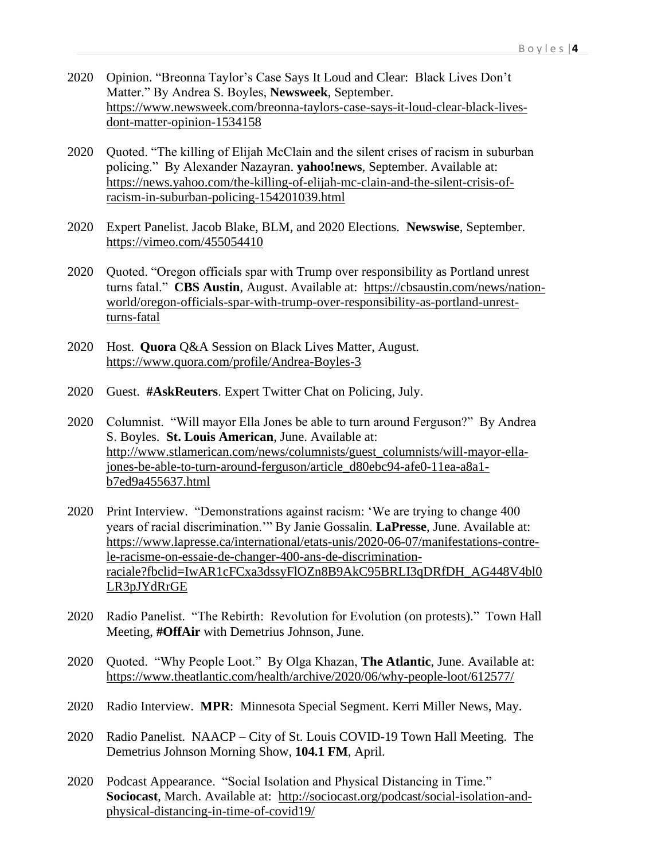- 2020 Opinion. "Breonna Taylor's Case Says It Loud and Clear: Black Lives Don't Matter." By Andrea S. Boyles, **Newsweek**, September. [https://www.newsweek.com/breonna-taylors-case-says-it-loud-clear-black-lives](https://www.newsweek.com/breonna-taylors-case-says-it-loud-clear-black-lives-dont-matter-opinion-1534158)[dont-matter-opinion-1534158](https://www.newsweek.com/breonna-taylors-case-says-it-loud-clear-black-lives-dont-matter-opinion-1534158)
- 2020 Quoted. "The killing of Elijah McClain and the silent crises of racism in suburban policing." By Alexander Nazayran. **yahoo!news**, September. Available at: [https://news.yahoo.com/the-killing-of-elijah-mc-clain-and-the-silent-crisis-of](https://news.yahoo.com/the-killing-of-elijah-mc-clain-and-the-silent-crisis-of-racism-in-suburban-policing-154201039.html)[racism-in-suburban-policing-154201039.html](https://news.yahoo.com/the-killing-of-elijah-mc-clain-and-the-silent-crisis-of-racism-in-suburban-policing-154201039.html)
- 2020 Expert Panelist. Jacob Blake, BLM, and 2020 Elections. **Newswise**, September. <https://vimeo.com/455054410>
- 2020 Quoted. "Oregon officials spar with Trump over responsibility as Portland unrest turns fatal." **CBS Austin**, August. Available at: [https://cbsaustin.com/news/nation](https://cbsaustin.com/news/nation-world/oregon-officials-spar-with-trump-over-responsibility-as-portland-unrest-turns-fatal)[world/oregon-officials-spar-with-trump-over-responsibility-as-portland-unrest](https://cbsaustin.com/news/nation-world/oregon-officials-spar-with-trump-over-responsibility-as-portland-unrest-turns-fatal)[turns-fatal](https://cbsaustin.com/news/nation-world/oregon-officials-spar-with-trump-over-responsibility-as-portland-unrest-turns-fatal)
- 2020 Host. **Quora** Q&A Session on Black Lives Matter, August. <https://www.quora.com/profile/Andrea-Boyles-3>
- 2020 Guest. **#AskReuters**. Expert Twitter Chat on Policing, July.
- 2020 Columnist. "Will mayor Ella Jones be able to turn around Ferguson?" By Andrea S. Boyles. **St. Louis American**, June. Available at: [http://www.stlamerican.com/news/columnists/guest\\_columnists/will-mayor-ella](http://www.stlamerican.com/news/columnists/guest_columnists/will-mayor-ella-jones-be-able-to-turn-around-ferguson/article_d80ebc94-afe0-11ea-a8a1-b7ed9a455637.html)[jones-be-able-to-turn-around-ferguson/article\\_d80ebc94-afe0-11ea-a8a1](http://www.stlamerican.com/news/columnists/guest_columnists/will-mayor-ella-jones-be-able-to-turn-around-ferguson/article_d80ebc94-afe0-11ea-a8a1-b7ed9a455637.html) [b7ed9a455637.html](http://www.stlamerican.com/news/columnists/guest_columnists/will-mayor-ella-jones-be-able-to-turn-around-ferguson/article_d80ebc94-afe0-11ea-a8a1-b7ed9a455637.html)
- 2020 Print Interview. "Demonstrations against racism: 'We are trying to change 400 years of racial discrimination.'" By Janie Gossalin. **LaPresse**, June. Available at: [https://www.lapresse.ca/international/etats-unis/2020-06-07/manifestations-contre](https://www.lapresse.ca/international/etats-unis/2020-06-07/manifestations-contre-le-racisme-on-essaie-de-changer-400-ans-de-discrimination-raciale?fbclid=IwAR1cFCxa3dssyFlOZn8B9AkC95BRLI3qDRfDH_AG448V4bl0LR3pJYdRrGE)[le-racisme-on-essaie-de-changer-400-ans-de-discrimination](https://www.lapresse.ca/international/etats-unis/2020-06-07/manifestations-contre-le-racisme-on-essaie-de-changer-400-ans-de-discrimination-raciale?fbclid=IwAR1cFCxa3dssyFlOZn8B9AkC95BRLI3qDRfDH_AG448V4bl0LR3pJYdRrGE)[raciale?fbclid=IwAR1cFCxa3dssyFlOZn8B9AkC95BRLI3qDRfDH\\_AG448V4bl0](https://www.lapresse.ca/international/etats-unis/2020-06-07/manifestations-contre-le-racisme-on-essaie-de-changer-400-ans-de-discrimination-raciale?fbclid=IwAR1cFCxa3dssyFlOZn8B9AkC95BRLI3qDRfDH_AG448V4bl0LR3pJYdRrGE) [LR3pJYdRrGE](https://www.lapresse.ca/international/etats-unis/2020-06-07/manifestations-contre-le-racisme-on-essaie-de-changer-400-ans-de-discrimination-raciale?fbclid=IwAR1cFCxa3dssyFlOZn8B9AkC95BRLI3qDRfDH_AG448V4bl0LR3pJYdRrGE)
- 2020 Radio Panelist. "The Rebirth: Revolution for Evolution (on protests)." Town Hall Meeting, **#OffAir** with Demetrius Johnson, June.
- 2020 Quoted. "Why People Loot." By Olga Khazan, **The Atlantic**, June. Available at: <https://www.theatlantic.com/health/archive/2020/06/why-people-loot/612577/>
- 2020 Radio Interview. **MPR**: Minnesota Special Segment. Kerri Miller News, May.
- 2020 Radio Panelist. NAACP City of St. Louis COVID-19 Town Hall Meeting. The Demetrius Johnson Morning Show, **104.1 FM**, April.
- 2020 Podcast Appearance. "Social Isolation and Physical Distancing in Time." **Sociocast**, March. Available at: [http://sociocast.org/podcast/social-isolation-and](http://sociocast.org/podcast/social-isolation-and-physical-distancing-in-time-of-covid19/)[physical-distancing-in-time-of-covid19/](http://sociocast.org/podcast/social-isolation-and-physical-distancing-in-time-of-covid19/)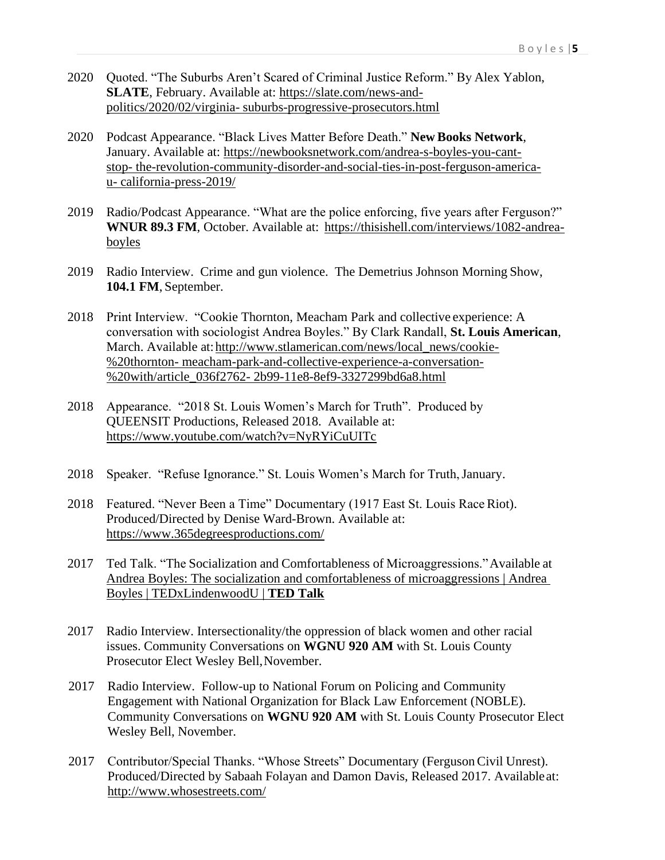- 2020 Quoted. "The Suburbs Aren't Scared of Criminal Justice Reform." By Alex Yablon, SLATE, February. Available at: [https://slate.com/news-and](https://slate.com/news-and-politics/2020/02/virginia-suburbs-progressive-prosecutors.html)[politics/2020/02/virginia-](https://slate.com/news-and-politics/2020/02/virginia-suburbs-progressive-prosecutors.html) [suburbs-progressive-prosecutors.html](https://slate.com/news-and-politics/2020/02/virginia-suburbs-progressive-prosecutors.html)
- 2020 Podcast Appearance. "Black Lives Matter Before Death." **New Books Network**, January. Available at: [https://newbooksnetwork.com/andrea-s-boyles-you-cant](https://newbooksnetwork.com/andrea-s-boyles-you-cant-stop-the-revolution-community-disorder-and-social-ties-in-post-ferguson-america-u-california-press-2019/)[stop-](https://newbooksnetwork.com/andrea-s-boyles-you-cant-stop-the-revolution-community-disorder-and-social-ties-in-post-ferguson-america-u-california-press-2019/) [the-revolution-community-disorder-and-social-ties-in-post-ferguson-america](https://newbooksnetwork.com/andrea-s-boyles-you-cant-stop-the-revolution-community-disorder-and-social-ties-in-post-ferguson-america-u-california-press-2019/)[u-](https://newbooksnetwork.com/andrea-s-boyles-you-cant-stop-the-revolution-community-disorder-and-social-ties-in-post-ferguson-america-u-california-press-2019/) [california-press-2019/](https://newbooksnetwork.com/andrea-s-boyles-you-cant-stop-the-revolution-community-disorder-and-social-ties-in-post-ferguson-america-u-california-press-2019/)
- 2019 Radio/Podcast Appearance. "What are the police enforcing, five years after Ferguson?" **WNUR 89.3 FM**, October. Available at: [https://thisishell.com/interviews/1082-andrea](https://thisishell.com/interviews/1082-andrea-boyles)[boyles](https://thisishell.com/interviews/1082-andrea-boyles)
- 2019 Radio Interview. Crime and gun violence. The Demetrius Johnson Morning Show, **104.1 FM**, September.
- 2018 Print Interview. "Cookie Thornton, Meacham Park and collective experience: A conversation with sociologist Andrea Boyles." By Clark Randall, **St. Louis American**, March. Available at: http://www.stlamerican.com/news/local\_news/cookie-[%20thornton-](http://www.stlamerican.com/news/local_news/cookie-%20thornton-meacham-park-and-collective-experience-a-conversation-%20with/article_036f2762-2b99-11e8-8ef9-3327299bd6a8.html) [meacham-park-and-collective-experience-a-conversation-](http://www.stlamerican.com/news/local_news/cookie-%20thornton-meacham-park-and-collective-experience-a-conversation-%20with/article_036f2762-2b99-11e8-8ef9-3327299bd6a8.html) [%20with/article\\_036f2762-](http://www.stlamerican.com/news/local_news/cookie-%20thornton-meacham-park-and-collective-experience-a-conversation-%20with/article_036f2762-2b99-11e8-8ef9-3327299bd6a8.html) [2b99-11e8-8ef9-3327299bd6a8.html](http://www.stlamerican.com/news/local_news/cookie-%20thornton-meacham-park-and-collective-experience-a-conversation-%20with/article_036f2762-2b99-11e8-8ef9-3327299bd6a8.html)
- 2018 Appearance. "2018 St. Louis Women's March for Truth". Produced by QUEENSIT Productions, Released 2018. Available at: <https://www.youtube.com/watch?v=NyRYiCuUITc>
- 2018 Speaker. "Refuse Ignorance." St. Louis Women's March for Truth,January.
- 2018 Featured. "Never Been a Time" Documentary (1917 East St. Louis Race Riot). Produced/Directed by Denise Ward-Brown. Available at: <https://www.365degreesproductions.com/>
- 2017 Ted Talk. "The Socialization and Comfortableness of Microaggressions."Available at [Andrea Boyles: The socialization and comfortableness of microaggressions | Andrea](https://www.ted.com/talks/andrea_boyles_the_socialization_and_comfortableness_of_microaggressions/transcript?language=en)  [Boyles | TEDxLindenwoodU |](https://www.ted.com/talks/andrea_boyles_the_socialization_and_comfortableness_of_microaggressions/transcript?language=en) **TED Talk**
- 2017 Radio Interview. Intersectionality/the oppression of black women and other racial issues. Community Conversations on **WGNU 920 AM** with St. Louis County Prosecutor Elect Wesley Bell,November.
- 2017 Radio Interview. Follow-up to National Forum on Policing and Community Engagement with National Organization for Black Law Enforcement (NOBLE). Community Conversations on **WGNU 920 AM** with St. Louis County Prosecutor Elect Wesley Bell, November.
- 2017 Contributor/Special Thanks. "Whose Streets" Documentary (FergusonCivil Unrest). Produced/Directed by Sabaah Folayan and Damon Davis, Released 2017. Availableat: <http://www.whosestreets.com/>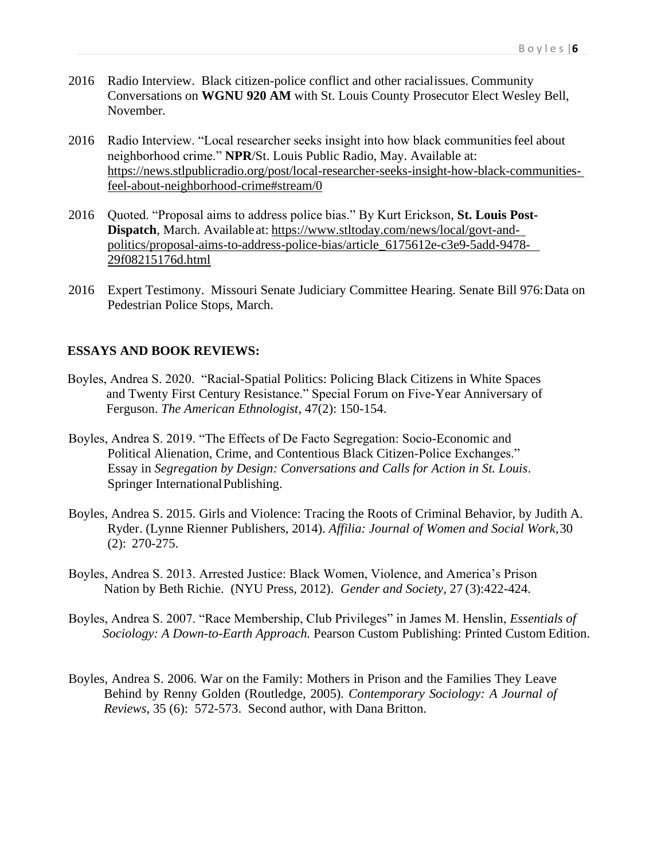- 2016 Radio Interview. Black citizen-police conflict and other racialissues. Community Conversations on **WGNU 920 AM** with St. Louis County Prosecutor Elect Wesley Bell, November.
- 2016 Radio Interview. "Local researcher seeks insight into how black communities feel about neighborhood crime." **NPR**/St. Louis Public Radio, May. Available at: [https://news.stlpublicradio.org/post/local-researcher-seeks-insight-how-black-communities](https://news.stlpublicradio.org/post/local-researcher-seeks-insight-how-black-communities-feel-about-neighborhood-crime%23stream/0)[feel-about-neighborhood-crime#stream/0](https://news.stlpublicradio.org/post/local-researcher-seeks-insight-how-black-communities-feel-about-neighborhood-crime%23stream/0)
- 2016 Quoted. "Proposal aims to address police bias." By Kurt Erickson, **St. Louis Post-Dispatch**, March. Available at: [https://www.stltoday.com/news/local/govt-and](https://www.stltoday.com/news/local/govt-and-%20politics/proposal-aims-to-address-police-bias/article_6175612e-c3e9-5add-9478-%2029f08215176d.html)[politics/proposal-aims-to-address-police-bias/article\\_6175612e-c3e9-5add-9478-](https://www.stltoday.com/news/local/govt-and-%20politics/proposal-aims-to-address-police-bias/article_6175612e-c3e9-5add-9478-%2029f08215176d.html) [29f08215176d.html](https://www.stltoday.com/news/local/govt-and-%20politics/proposal-aims-to-address-police-bias/article_6175612e-c3e9-5add-9478-%2029f08215176d.html)
- 2016 Expert Testimony. Missouri Senate Judiciary Committee Hearing. Senate Bill 976:Data on Pedestrian Police Stops, March.

#### **ESSAYS AND BOOK REVIEWS:**

- Boyles, Andrea S. 2020. "Racial-Spatial Politics: Policing Black Citizens in White Spaces and Twenty First Century Resistance." Special Forum on Five-Year Anniversary of Ferguson. *The American Ethnologist,* 47(2): 150-154.
- Boyles, Andrea S. 2019. "The Effects of De Facto Segregation: Socio-Economic and Political Alienation, Crime, and Contentious Black Citizen-Police Exchanges." Essay in *Segregation by Design: Conversations and Calls for Action in St. Louis*. Springer InternationalPublishing.
- Boyles, Andrea S. 2015. Girls and Violence: Tracing the Roots of Criminal Behavior, by Judith A. Ryder. (Lynne Rienner Publishers, 2014). *Affilia: Journal of Women and Social Work*,30 (2): 270-275.
- Boyles, Andrea S. 2013. Arrested Justice: Black Women, Violence, and America's Prison Nation by Beth Richie. (NYU Press, 2012). *Gender and Society*, 27 (3):422-424.
- Boyles, Andrea S. 2007. "Race Membership, Club Privileges" in James M. Henslin, *Essentials of Sociology: A Down-to-Earth Approach.* Pearson Custom Publishing: Printed Custom Edition.
- Boyles, Andrea S. 2006. War on the Family: Mothers in Prison and the Families They Leave Behind by Renny Golden (Routledge, 2005)*. Contemporary Sociology: A Journal of Reviews*, 35 (6): 572-573. Second author, with Dana Britton.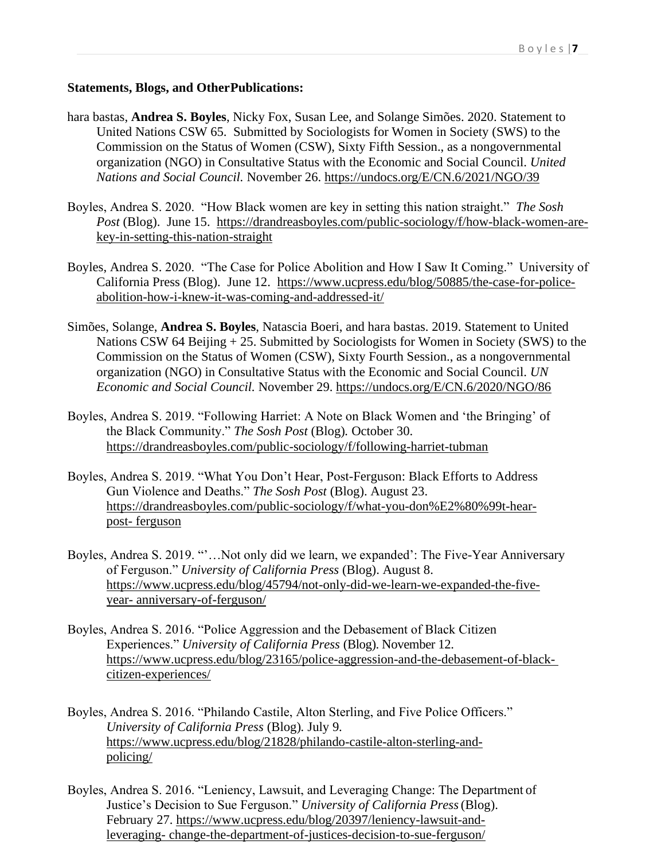#### **Statements, Blogs, and OtherPublications:**

- hara bastas, **Andrea S. Boyles**, Nicky Fox, Susan Lee, and Solange Simões. 2020. Statement to United Nations CSW 65. Submitted by Sociologists for Women in Society (SWS) to the Commission on the Status of Women (CSW), Sixty Fifth Session., as a nongovernmental organization (NGO) in Consultative Status with the Economic and Social Council. *United Nations and Social Council.* November 26.<https://undocs.org/E/CN.6/2021/NGO/39>
- Boyles, Andrea S. 2020. "How Black women are key in setting this nation straight." *The Sosh Post* (Blog). June 15. [https://drandreasboyles.com/public-sociology/f/how-black-women-are](https://drandreasboyles.com/public-sociology/f/how-black-women-are-key-in-setting-this-nation-straight)[key-in-setting-this-nation-straight](https://drandreasboyles.com/public-sociology/f/how-black-women-are-key-in-setting-this-nation-straight)
- Boyles, Andrea S. 2020. "The Case for Police Abolition and How I Saw It Coming." University of California Press (Blog). June 12. [https://www.ucpress.edu/blog/50885/the-case-for-police](https://www.ucpress.edu/blog/50885/the-case-for-police-abolition-how-i-knew-it-was-coming-and-addressed-it/)[abolition-how-i-knew-it-was-coming-and-addressed-it/](https://www.ucpress.edu/blog/50885/the-case-for-police-abolition-how-i-knew-it-was-coming-and-addressed-it/)
- Simões, Solange, **Andrea S. Boyles**, Natascia Boeri, and hara bastas. 2019. Statement to United Nations CSW 64 Beijing + 25. Submitted by Sociologists for Women in Society (SWS) to the Commission on the Status of Women (CSW), Sixty Fourth Session., as a nongovernmental organization (NGO) in Consultative Status with the Economic and Social Council. *UN Economic and Social Council.* November 29.<https://undocs.org/E/CN.6/2020/NGO/86>
- Boyles, Andrea S. 2019. "Following Harriet: A Note on Black Women and 'the Bringing' of the Black Community." *The Sosh Post* (Blog)*.* October 30. <https://drandreasboyles.com/public-sociology/f/following-harriet-tubman>
- Boyles, Andrea S. 2019. "What You Don't Hear, Post-Ferguson: Black Efforts to Address Gun Violence and Deaths." *The Sosh Post* (Blog). August 23. [https://drandreasboyles.com/public-sociology/f/what-you-don%E2%80%99t-hear](https://drandreasboyles.com/public-sociology/f/what-you-don%E2%80%99t-hear-post-ferguson)[post-](https://drandreasboyles.com/public-sociology/f/what-you-don%E2%80%99t-hear-post-ferguson) [ferguson](https://drandreasboyles.com/public-sociology/f/what-you-don%E2%80%99t-hear-post-ferguson)
- Boyles, Andrea S. 2019. "'…Not only did we learn, we expanded': The Five-Year Anniversary of Ferguson." *University of California Press* (Blog). August 8. [https://www.ucpress.edu/blog/45794/not-only-did-we-learn-we-expanded-the-five](https://www.ucpress.edu/blog/45794/not-only-did-we-learn-we-expanded-the-five-year-anniversary-of-ferguson/)[year-](https://www.ucpress.edu/blog/45794/not-only-did-we-learn-we-expanded-the-five-year-anniversary-of-ferguson/) [anniversary-of-ferguson/](https://www.ucpress.edu/blog/45794/not-only-did-we-learn-we-expanded-the-five-year-anniversary-of-ferguson/)
- Boyles, Andrea S. 2016. "Police Aggression and the Debasement of Black Citizen Experiences." *University of California Press* (Blog). November 12. [https://www.ucpress.edu/blog/23165/police-aggression-and-the-debasement-of-black](https://www.ucpress.edu/blog/23165/police-aggression-and-the-debasement-of-black-citizen-experiences/)[citizen-experiences/](https://www.ucpress.edu/blog/23165/police-aggression-and-the-debasement-of-black-citizen-experiences/)
- Boyles, Andrea S. 2016. "Philando Castile, Alton Sterling, and Five Police Officers." *University of California Press* (Blog)*.* July 9. [https://www.ucpress.edu/blog/21828/philando-castile-alton-sterling-and](https://www.ucpress.edu/blog/21828/philando-castile-alton-sterling-and-policing/)[policing/](https://www.ucpress.edu/blog/21828/philando-castile-alton-sterling-and-policing/)
- Boyles, Andrea S. 2016. "Leniency, Lawsuit, and Leveraging Change: The Department of Justice's Decision to Sue Ferguson." *University of California Press*(Blog). February 27. [https://www.ucpress.edu/blog/20397/leniency-lawsuit-and](https://www.ucpress.edu/blog/20397/leniency-lawsuit-and-leveraging-change-the-department-of-justices-decision-to-sue-ferguson/)[leveraging-](https://www.ucpress.edu/blog/20397/leniency-lawsuit-and-leveraging-change-the-department-of-justices-decision-to-sue-ferguson/) [change-the-department-of-justices-decision-to-sue-ferguson/](https://www.ucpress.edu/blog/20397/leniency-lawsuit-and-leveraging-change-the-department-of-justices-decision-to-sue-ferguson/)